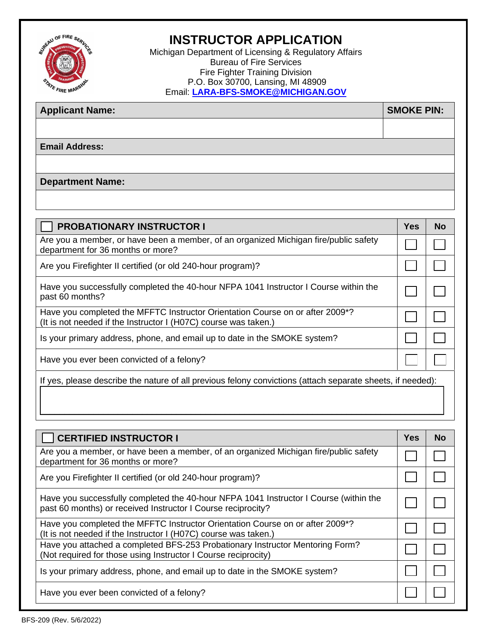

## **INSTRUCTOR APPLICATION**

Michigan Department of Licensing & Regulatory Affairs Bureau of Fire Services Fire Fighter Training Division P.O. Box 30700, Lansing, MI 48909 Email: **[LARA-BFS-SMOKE@MICHIGAN.GOV](mailto:LARA-BFS-SMOKE@MICHIGAN.GOV)**

| <b>Applicant Name:</b>  | <b>SMOKE PIN:</b> |
|-------------------------|-------------------|
|                         |                   |
| <b>Email Address:</b>   |                   |
|                         |                   |
| <b>Department Name:</b> |                   |

| <b>PROBATIONARY INSTRUCTOR I</b>                                                                                                                 | <b>Yes</b> | <b>No</b> |  |
|--------------------------------------------------------------------------------------------------------------------------------------------------|------------|-----------|--|
| Are you a member, or have been a member, of an organized Michigan fire/public safety<br>department for 36 months or more?                        |            |           |  |
| Are you Firefighter II certified (or old 240-hour program)?                                                                                      |            |           |  |
| Have you successfully completed the 40-hour NFPA 1041 Instructor I Course within the<br>past 60 months?                                          |            |           |  |
| Have you completed the MFFTC Instructor Orientation Course on or after 2009*?<br>(It is not needed if the Instructor I (H07C) course was taken.) |            |           |  |
| Is your primary address, phone, and email up to date in the SMOKE system?                                                                        |            |           |  |
| Have you ever been convicted of a felony?                                                                                                        |            |           |  |
| If yes, please describe the nature of all previous felony convictions (attach separate sheets, if needed):                                       |            |           |  |

 $\mathcal{L}_\text{max}$  , and the contract of the contract of the contract of the contract of the contract of the contract of the contract of the contract of the contract of the contract of the contract of the contract of the contr

| <b>CERTIFIED INSTRUCTOR I</b>                                                                                                                                | Yes | <b>No</b> |
|--------------------------------------------------------------------------------------------------------------------------------------------------------------|-----|-----------|
| Are you a member, or have been a member, of an organized Michigan fire/public safety<br>department for 36 months or more?                                    |     |           |
| Are you Firefighter II certified (or old 240-hour program)?                                                                                                  |     |           |
| Have you successfully completed the 40-hour NFPA 1041 Instructor I Course (within the<br>past 60 months) or received Instructor I Course reciprocity?        |     |           |
| Have you completed the MFFTC Instructor Orientation Course on or after 2009 <sup>*?</sup><br>(It is not needed if the Instructor I (H07C) course was taken.) |     |           |
| Have you attached a completed BFS-253 Probationary Instructor Mentoring Form?<br>(Not required for those using Instructor I Course reciprocity)              |     |           |
| Is your primary address, phone, and email up to date in the SMOKE system?                                                                                    |     |           |
| Have you ever been convicted of a felony?                                                                                                                    |     |           |